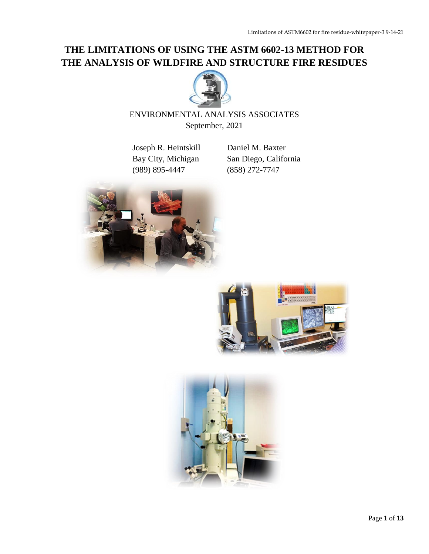# **THE LIMITATIONS OF USING THE ASTM 6602-13 METHOD FOR THE ANALYSIS OF WILDFIRE AND STRUCTURE FIRE RESIDUES**



## ENVIRONMENTAL ANALYSIS ASSOCIATES September, 2021

Joseph R. Heintskill Daniel M. Baxter (989) 895-4447 (858) 272-7747

Bay City, Michigan San Diego, California





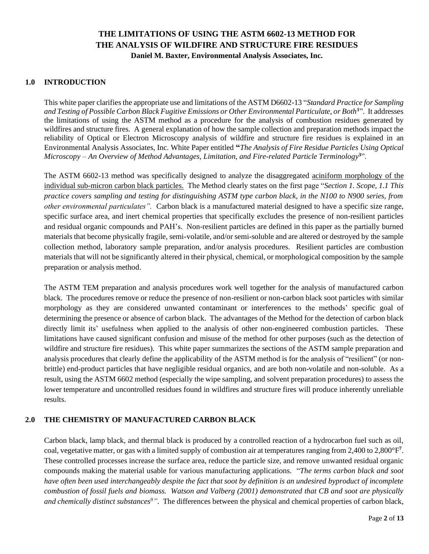## **THE LIMITATIONS OF USING THE ASTM 6602-13 METHOD FOR THE ANALYSIS OF WILDFIRE AND STRUCTURE FIRE RESIDUES Daniel M. Baxter, Environmental Analysis Associates, Inc.**

## **1.0 INTRODUCTION**

This white paper clarifiesthe appropriate use and limitations of the ASTM D6602-13 "*Standard Practice for Sampling and Testing of Possible Carbon Black Fugitive Emissions or Other Environmental Particulate, or Both***<sup>1</sup>** ". It addresses the limitations of using the ASTM method as a procedure for the analysis of combustion residues generated by wildfires and structure fires. A general explanation of how the sample collection and preparation methods impact the reliability of Optical or Electron Microscopy analysis of wildfire and structure fire residues is explained in an Environmental Analysis Associates, Inc. White Paper entitled **"***The Analysis of Fire Residue Particles Using Optical Microscopy – An Overview of Method Advantages, Limitation, and Fire-related Particle Terminology***<sup>3</sup>** ".

The ASTM 6602-13 method was specifically designed to analyze the disaggregated aciniform morphology of the individual sub-micron carbon black particles. The Method clearly states on the first page "*Section 1. Scope, 1.1 This practice covers sampling and testing for distinguishing ASTM type carbon black, in the N100 to N900 series, from other environmental particulates".* Carbon black is a manufactured material designed to have a specific size range, specific surface area, and inert chemical properties that specifically excludes the presence of non-resilient particles and residual organic compounds and PAH's. Non-resilient particles are defined in this paper as the partially burned materials that become physically fragile, semi-volatile, and/or semi-soluble and are altered or destroyed by the sample collection method, laboratory sample preparation, and/or analysis procedures. Resilient particles are combustion materials that will not be significantly altered in their physical, chemical, or morphological composition by the sample preparation or analysis method.

The ASTM TEM preparation and analysis procedures work well together for the analysis of manufactured carbon black. The procedures remove or reduce the presence of non-resilient or non-carbon black soot particles with similar morphology as they are considered unwanted contaminant or interferences to the methods' specific goal of determining the presence or absence of carbon black. The advantages of the Method for the detection of carbon black directly limit its' usefulness when applied to the analysis of other non-engineered combustion particles. These limitations have caused significant confusion and misuse of the method for other purposes (such as the detection of wildfire and structure fire residues). This white paper summarizes the sections of the ASTM sample preparation and analysis procedures that clearly define the applicability of the ASTM method is for the analysis of "resilient" (or nonbrittle) end-product particles that have negligible residual organics, and are both non-volatile and non-soluble. As a result, using the ASTM 6602 method (especially the wipe sampling, and solvent preparation procedures) to assess the lower temperature and uncontrolled residues found in wildfires and structure fires will produce inherently unreliable results.

## **2.0 THE CHEMISTRY OF MANUFACTURED CARBON BLACK**

Carbon black, lamp black, and thermal black is produced by a controlled reaction of a hydrocarbon fuel such as oil, coal, vegetative matter, or gas with a limited supply of combustion air at temperatures ranging from 2,400 to 2,800°F**<sup>7</sup>** . These controlled processes increase the surface area, reduce the particle size, and remove unwanted residual organic compounds making the material usable for various manufacturing applications. "*The terms carbon black and soot have often been used interchangeably despite the fact that soot by definition is an undesired byproduct of incomplete combustion of fossil fuels and biomass. Watson and Valberg (2001) demonstrated that CB and soot are physically and chemically distinct substances9"*. The differences between the physical and chemical properties of carbon black,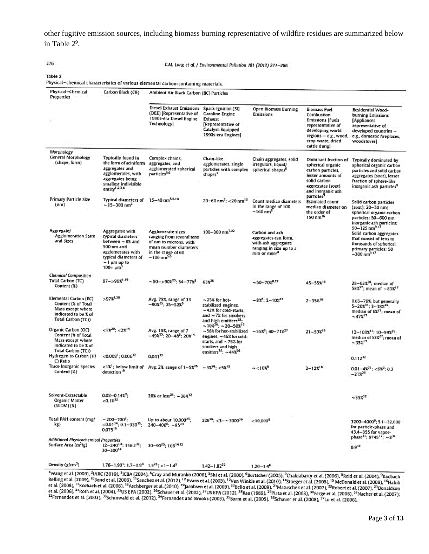other fugitive emission sources, including biomass burning representative of wildfire residues are summarized below in Table 2<sup>9</sup>.

276

C.M. Long et al. / Environmental Pollution 181 (2013) 271-286

Physical-chemical characteristics of various elemental carbon-containing materials.

| Physical-Chemical<br>Properties                                                                                 | Carbon Black (CB)                                                                                                                                           | Ambient Air Black Carbon (BC) Particles                                                                                                              |                                                                                                                                                                                               |                                                                                                                      |                                                                                                                                                              |                                                                                                                                                                                  |
|-----------------------------------------------------------------------------------------------------------------|-------------------------------------------------------------------------------------------------------------------------------------------------------------|------------------------------------------------------------------------------------------------------------------------------------------------------|-----------------------------------------------------------------------------------------------------------------------------------------------------------------------------------------------|----------------------------------------------------------------------------------------------------------------------|--------------------------------------------------------------------------------------------------------------------------------------------------------------|----------------------------------------------------------------------------------------------------------------------------------------------------------------------------------|
|                                                                                                                 |                                                                                                                                                             | <b>Diesel Exhaust Emissions</b><br>(DEE) [Representative of<br>1990s-era Diesel Engine<br>Technology                                                 | Spark-Ignition (SI)<br><b>Gasoline Engine</b><br>Exhaust<br>[Representative of<br>Catalyst-Equipped<br>1990s-era Engines]                                                                     | Open Biomass Burning<br>Emissions                                                                                    | Biomass Fuel<br>Combustion<br><b>Emissions   Fuels</b><br>representative of<br>developing world<br>regions - e.g., wood,<br>crop waste, dried<br>cattle dung | Residential Wood-<br>burning Emissions<br>[Appliances<br>representative of<br>developed countries --<br>e.g., domestic fireplaces,<br>woodstoves[                                |
| Morphology<br>General Morphology<br>(shape, form)                                                               | Typically found in<br>the form of aciniform<br>aggregates and<br>agglomerates, with<br>aggregates being<br>smallest indivisible<br>entity <sup>1,23.4</sup> | Complex chains.<br>aggregates, and<br>agglomerated spherical<br>particles <sup>3,6</sup>                                                             | Chain-like<br>agglomerates, single<br>particles with complex<br>shapes <sup>7</sup>                                                                                                           | Chain aggregates, solid<br>irregulars, liquid/<br>spherical shapes <sup>8</sup>                                      | Dominant fraction of<br>spherical organic<br>carbon particles.<br>lesser amounts of<br>solid carbon<br>aggregates (soot)<br>and inorganic ash:               | Typically dominated by<br>spherical organic carbon<br>particles and solid carbon<br>aggregates (soot), lesser<br>fraction of sphere-like<br>inorganic ash particles <sup>9</sup> |
| <b>Primary Particle Size</b><br>(nm)                                                                            | Typical diameters of<br>$-15 - 300$ nm <sup>3</sup>                                                                                                         | $15 - 40$ nm <sup>5.6.14</sup>                                                                                                                       | $20 - 60$ nm <sup>2</sup> ; < 20 nm <sup>15</sup>                                                                                                                                             | Count median diameters<br>in the range of 100<br>$-160$ nm <sup>8</sup>                                              | particles <sup>9</sup><br>Estimated count<br>median diameter on-<br>the order of<br>150 nm <sup>16</sup>                                                     | Solid carbon particles<br>(soot): 20~50 nm;<br>spherical organic carbon<br>particles: 50-600 nm;<br>inorganic ash particles:                                                     |
| <b>Aggregate</b><br>Agglomeration State<br>and Sizes                                                            | Aggregates with<br>typical diameters<br>between ~85 and<br>500 nm and<br>agglomerates with<br>typical diameters of .<br>⊸ 1 µm up to<br>$100 + \mu m^3$     | Agglomerate sizes<br>ranging from several tens<br>of nm to microns, with:<br>mean number diameters<br>in the range of 60<br>$-100$ nm <sup>5.6</sup> | 100-300 nm <sup>7.22</sup>                                                                                                                                                                    | Carbon and ash<br>aggregates can form,<br>with ash aggregates.<br>ranging in size up to a<br>mm or more <sup>8</sup> |                                                                                                                                                              | $50 - 125$ nm <sup>9.17</sup><br>Solid carbon aggregates<br>that consist of tens to<br>thousands of spherical<br>primary particles: 50<br>-300 nm <sup>2.17</sup>                |
| Chemical Composition.<br>Total Carbon (TC)<br>Content (%)                                                       | $97 - 998^{1.19}$                                                                                                                                           | $\sim$ 50 $\sim$ > 90% <sup>25</sup> : 54 - 77% <sup>5</sup>                                                                                         | 63%26                                                                                                                                                                                         | $-50-70x^{0.27}$                                                                                                     | 45-55%16                                                                                                                                                     | $28-623^{28}$ ; median of<br>58% <sup>27</sup> ; mean of -83% <sup>17</sup>                                                                                                      |
| Elemental Carbon (EC)<br>Content (% of Total<br>Mass except where<br>indicated to be % of<br>Total Carbon (TC)) | $>97$ % <sup>1.20</sup>                                                                                                                                     | Avg. 75%, range of 33<br>$-90x^{25}$ ; 25 $-52x^5$                                                                                                   | $\sim$ 25% for hot-<br>stabilized engines,<br>~42% for cold-starts.<br>and $-7$ % for smokers<br>and high emitters <sup>25</sup> :<br>$\sim$ 10% <sup>26</sup> ; $\sim$ 20–50% <sup>15;</sup> | $-833$ ; 2-10 $x27$                                                                                                  | $2 - 358^{16}$                                                                                                                                               | 0.65-79%, but generally<br>$5 - 203^{31}$ ; $3 - 383^{28}$ ;<br>median of 6% <sup>27</sup> ; mean of<br>$\sim 47\%^{17}$                                                         |
| Organic Carbon (OC)<br>Content (% of Total<br>Mass except where<br>indicated to be % of<br>Total Carbon (TC))   | $<12^{20}$ ; $<22^{14}$                                                                                                                                     | Avg. 19%, range of 7<br>$-49x^{25}$ ; 20 $-48^5$ ; 20 $x^{14}$ .                                                                                     | ~56% for hot-stabilized<br>engines, - 46% for cold-<br>starts, and ~76% for<br>smokers and high<br>emitters <sup>25</sup> : $\sim$ 443 <sup>26</sup>                                          | $-55\%$ ; 40-712 <sup>27</sup>                                                                                       | $21 - 50x^{16}$                                                                                                                                              | $12 - 1004^{31}$ ; $10 - 59%$ <sup>28</sup> ;<br>median of 53% <sup>27</sup> ; mean of<br>$~1.35$ $\frac{17}{3}$                                                                 |
| Hydrogen to Carbon (H/<br>C) Ratio                                                                              | $< 0.008$ <sup>1</sup> ; 0.006 <sup>32</sup>                                                                                                                | $0.041^{32}$                                                                                                                                         |                                                                                                                                                                                               |                                                                                                                      |                                                                                                                                                              | $0.112^{32}$                                                                                                                                                                     |
| Trace Inorganic Species:<br>Cantent (%)                                                                         | detection <sup>19</sup>                                                                                                                                     | $<$ 1% <sup>1</sup> ; below limit of Avg. 2%, range of $1-5x^{25}$ .                                                                                 | $-3x^{26}$ : <5% <sup>15</sup>                                                                                                                                                                | $\sim$ <10%                                                                                                          | $2 - 12x^{15}$                                                                                                                                               | $0.01 - 4\mathcal{K}^{31}$ ; <6% <sup>0</sup> ; 0.3<br>$-212^{28}$                                                                                                               |
| Solvent-Extractable<br><b>Organic Matter</b><br>(SEOM) (%)                                                      | $0.02 - 0.14$ $\frac{32}{1}$ ;<br>$-0.13^{32}$                                                                                                              | 20% or less <sup>25</sup> : ~ 36% <sup>32</sup>                                                                                                      |                                                                                                                                                                                               |                                                                                                                      |                                                                                                                                                              | $-35x^{12}$                                                                                                                                                                      |
| Total PAH content (mg/<br>kg)                                                                                   | $-200 - 700^2$<br>$<$ 0.01 <sup>34</sup> ; 0.1-330 <sup>35</sup> ;<br>0.07519                                                                               | Up to about 10,000 <sup>25</sup> :<br>$240 - 400^5$ : $-85^{34}$                                                                                     | $226^{26}$ ; <3- ~ 3000 <sup>36</sup>                                                                                                                                                         | $< 10,000$ <sup>2</sup>                                                                                              |                                                                                                                                                              | $3200 - 4000^9$ ; $5.1 - 32,000$<br>for particle-phase and<br>43.4-355 for vapor-<br>phase <sup>31</sup> ; 9745 <sup>17</sup> : ~8 <sup>34</sup>                                 |
| Additional Physicochemical Properties<br>Surface Area (m <sup>2</sup> /g)                                       | $12 - 240^{1,2}$ ; $156.2^{32}$ ;<br>30-300 <sup>14</sup>                                                                                                   | 30-90 <sup>25</sup> ; 108 <sup>14,32</sup>                                                                                                           |                                                                                                                                                                                               |                                                                                                                      |                                                                                                                                                              | $0.9^{12}$                                                                                                                                                                       |
| Density (g/cm <sup>3</sup> )                                                                                    | $1.76 - 1.90^{3}$ ; $1.7 - 1.9^{3}$ $1.5^{25}$ ; $< 1 - 1.4^{5}$                                                                                            |                                                                                                                                                      | $1.42 - 1.82^{22}$                                                                                                                                                                            | $1.20 - 1.4^8$                                                                                                       |                                                                                                                                                              |                                                                                                                                                                                  |
|                                                                                                                 |                                                                                                                                                             |                                                                                                                                                      |                                                                                                                                                                                               |                                                                                                                      |                                                                                                                                                              |                                                                                                                                                                                  |

<sup>1.20–1.4</sup><br>
<sup>1.20–1.4<sup>2</sup><br>
<sup>1.20–1.4<sup>2</sup><br>
<sup>1.200</sup> (2003), <sup>2</sup>HARC (2010), <sup>3</sup>ICBA (2004), <sup>4</sup>Gray and Muranko (2006), <sup>5</sup>Shi et al. (2000), <sup>6</sup>Burtscher (2005), <sup>2</sup>Chakrabarty et al. (2006), <sup>8</sup>Reid et al. (2004), <sup>9</sup>Kocbac</sup></sup>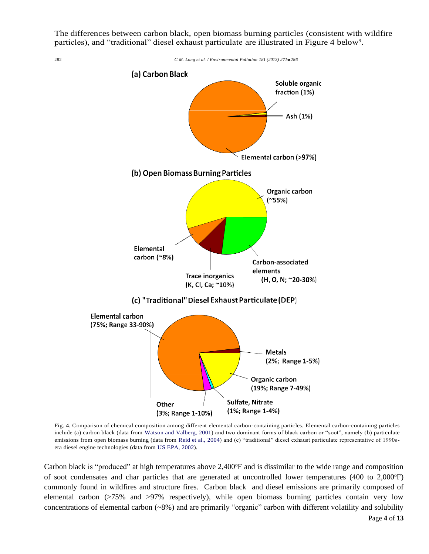The differences between carbon black, open biomass burning particles (consistent with wildfire particles), and "traditional" diesel exhaust particulate are illustrated in Figure 4 below<sup>9</sup>.



Fig. 4. Comparison of chemical composition among different elemental carbon-containing particles. Elemental carbon-containing particles include (a) carbon black (data from Watson and Valberg, 2001) and two dominant forms of black carbon or "soot", namely (b) particulate emissions from open biomass burning (data from Reid et al., 2004) and (c) "traditional" diesel exhaust particulate representative of 1990sera diesel engine technologies (data from US EPA, 2002).

Carbon black is "produced" at high temperatures above  $2.400^{\circ}$ F and is dissimilar to the wide range and composition of soot condensates and char particles that are generated at uncontrolled lower temperatures (400 to 2,000°F) commonly found in wildfires and structure fires. Carbon black and diesel emissions are primarily composed of elemental carbon (>75% and >97% respectively), while open biomass burning particles contain very low concentrations of elemental carbon (~8%) and are primarily "organic" carbon with different volatility and solubility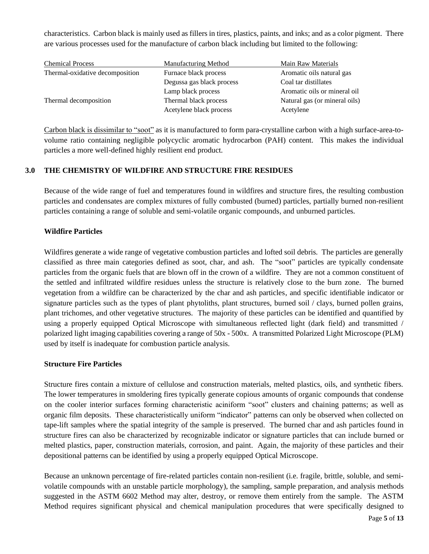characteristics. Carbon black is mainly used as fillers in tires, plastics, paints, and inks; and as a color pigment. There are various processes used for the manufacture of carbon black including but limited to the following:

| <b>Manufacturing Method</b> | Main Raw Materials            |
|-----------------------------|-------------------------------|
| Furnace black process       | Aromatic oils natural gas     |
| Degussa gas black process   | Coal tar distillates          |
| Lamp black process          | Aromatic oils or mineral oil  |
| Thermal black process       | Natural gas (or mineral oils) |
| Acetylene black process     | Acetylene                     |
|                             |                               |

Carbon black is dissimilar to "soot" as it is manufactured to form para-crystalline carbon with a high surface-area-tovolume ratio containing negligible polycyclic aromatic hydrocarbon (PAH) content. This makes the individual particles a more well-defined highly resilient end product.

## **3.0 THE CHEMISTRY OF WILDFIRE AND STRUCTURE FIRE RESIDUES**

Because of the wide range of fuel and temperatures found in wildfires and structure fires, the resulting combustion particles and condensates are complex mixtures of fully combusted (burned) particles, partially burned non-resilient particles containing a range of soluble and semi-volatile organic compounds, and unburned particles.

## **Wildfire Particles**

Wildfires generate a wide range of vegetative combustion particles and lofted soil debris. The particles are generally classified as three main categories defined as soot, char, and ash. The "soot" particles are typically condensate particles from the organic fuels that are blown off in the crown of a wildfire. They are not a common constituent of the settled and infiltrated wildfire residues unless the structure is relatively close to the burn zone. The burned vegetation from a wildfire can be characterized by the char and ash particles, and specific identifiable indicator or signature particles such as the types of plant phytoliths, plant structures, burned soil / clays, burned pollen grains, plant trichomes, and other vegetative structures. The majority of these particles can be identified and quantified by using a properly equipped Optical Microscope with simultaneous reflected light (dark field) and transmitted / polarized light imaging capabilities covering a range of 50x - 500x. A transmitted Polarized Light Microscope (PLM) used by itself is inadequate for combustion particle analysis.

## **Structure Fire Particles**

Structure fires contain a mixture of cellulose and construction materials, melted plastics, oils, and synthetic fibers. The lower temperatures in smoldering fires typically generate copious amounts of organic compounds that condense on the cooler interior surfaces forming characteristic aciniform "soot" clusters and chaining patterns; as well as organic film deposits. These characteristically uniform "indicator" patterns can only be observed when collected on tape-lift samples where the spatial integrity of the sample is preserved. The burned char and ash particles found in structure fires can also be characterized by recognizable indicator or signature particles that can include burned or melted plastics, paper, construction materials, corrosion, and paint. Again, the majority of these particles and their depositional patterns can be identified by using a properly equipped Optical Microscope.

Because an unknown percentage of fire-related particles contain non-resilient (i.e. fragile, brittle, soluble, and semivolatile compounds with an unstable particle morphology), the sampling, sample preparation, and analysis methods suggested in the ASTM 6602 Method may alter, destroy, or remove them entirely from the sample. The ASTM Method requires significant physical and chemical manipulation procedures that were specifically designed to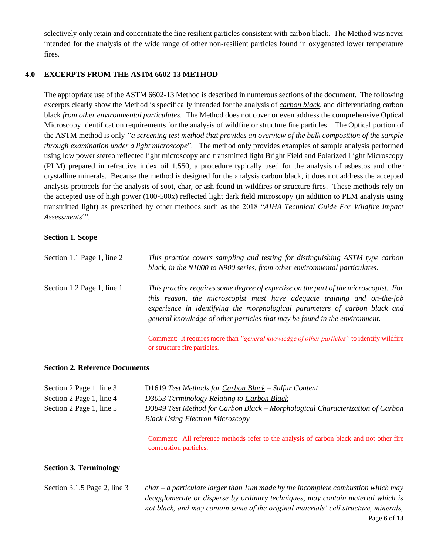selectively only retain and concentrate the fine resilient particles consistent with carbon black. The Method was never intended for the analysis of the wide range of other non-resilient particles found in oxygenated lower temperature fires.

### **4.0 EXCERPTS FROM THE ASTM 6602-13 METHOD**

The appropriate use of the ASTM 6602-13 Method is described in numerous sections of the document. The following excerpts clearly show the Method is specifically intended for the analysis of *carbon black*, and differentiating carbon black *from other environmental particulates*. The Method does not cover or even address the comprehensive Optical Microscopy identification requirements for the analysis of wildfire or structure fire particles. The Optical portion of the ASTM method is only *"a screening test method that provides an overview of the bulk composition of the sample through examination under a light microscope*". The method only provides examples of sample analysis performed using low power stereo reflected light microscopy and transmitted light Bright Field and Polarized Light Microscopy (PLM) prepared in refractive index oil 1.550, a procedure typically used for the analysis of asbestos and other crystalline minerals. Because the method is designed for the analysis carbon black, it does not address the accepted analysis protocols for the analysis of soot, char, or ash found in wildfires or structure fires. These methods rely on the accepted use of high power (100-500x) reflected light dark field microscopy (in addition to PLM analysis using transmitted light) as prescribed by other methods such as the 2018 "*AIHA Technical Guide For Wildfire Impact Assessments*<sup>4</sup>".

#### **Section 1. Scope**

| Section 1.1 Page 1, line 2 | This practice covers sampling and testing for distinguishing ASTM type carbon<br>black, in the N1000 to N900 series, from other environmental particulates.                                                                                                                                                                  |
|----------------------------|------------------------------------------------------------------------------------------------------------------------------------------------------------------------------------------------------------------------------------------------------------------------------------------------------------------------------|
| Section 1.2 Page 1, line 1 | This practice requires some degree of expertise on the part of the microscopist. For<br>this reason, the microscopist must have adequate training and on-the-job<br>experience in identifying the morphological parameters of carbon black and<br>general knowledge of other particles that may be found in the environment. |
|                            | Comment: It requires more than "general knowledge of other particles" to identify wildfire<br>or structure fire particles.                                                                                                                                                                                                   |

#### **Section 2. Reference Documents**

| Section 2 Page 1, line 3<br>Section 2 Page 1, line 4 | D1619 Test Methods for Carbon Black - Sulfur Content<br>D3053 Terminology Relating to Carbon Black                      |
|------------------------------------------------------|-------------------------------------------------------------------------------------------------------------------------|
| Section 2 Page 1, line 5                             | D3849 Test Method for Carbon Black – Morphological Characterization of Carbon<br><b>Black Using Electron Microscopy</b> |
|                                                      | Comment: All reference methods refer to the analysis of carbon black and not other fire<br>combustion particles.        |

## **Section 3. Terminology**

| Section $3.1.5$ Page 2, line $3$ | $char - a$ particulate larger than 1 um made by the incomplete combustion which may  |
|----------------------------------|--------------------------------------------------------------------------------------|
|                                  | deagglomerate or disperse by ordinary techniques, may contain material which is      |
|                                  | not black, and may contain some of the original materials' cell structure, minerals, |
|                                  | Page 6 of $13$                                                                       |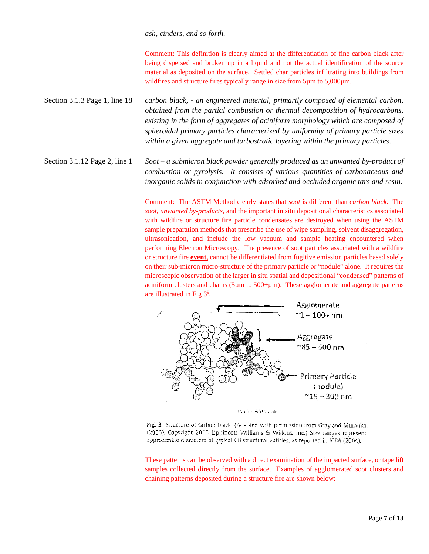#### *ash, cinders, and so forth.*

Comment: This definition is clearly aimed at the differentiation of fine carbon black after being dispersed and broken up in a liquid and not the actual identification of the source material as deposited on the surface. Settled char particles infiltrating into buildings from wildfires and structure fires typically range in size from 5µm to 5,000µm.

Section 3.1.3 Page 1, line 18 *carbon black, - an engineered material, primarily composed of elemental carbon, obtained from the partial combustion or thermal decomposition of hydrocarbons, existing in the form of aggregates of aciniform morphology which are composed of spheroidal primary particles characterized by uniformity of primary particle sizes within a given aggregate and turbostratic layering within the primary particles.*

Section 3.1.12 Page 2, line 1 *Soot – a submicron black powder generally produced as an unwanted by-product of combustion or pyrolysis. It consists of various quantities of carbonaceous and inorganic solids in conjunction with adsorbed and occluded organic tars and resin.*

> Comment: The ASTM Method clearly states that *soot* is different than *carbon black*. The *soot*, *unwanted by-products*, and the important in situ depositional characteristics associated with wildfire or structure fire particle condensates are destroyed when using the ASTM sample preparation methods that prescribe the use of wipe sampling, solvent disaggregation, ultrasonication, and include the low vacuum and sample heating encountered when performing Electron Microscopy. The presence of soot particles associated with a wildfire or structure fire **event,** cannot be differentiated from fugitive emission particles based solely on their sub-micron micro-structure of the primary particle or "nodule" alone. It requires the microscopic observation of the larger in situ spatial and depositional "condensed" patterns of aciniform clusters and chains ( $5\mu$ m to  $500+\mu$ m). These agglomerate and aggregate patterns are illustrated in Fig 3<sup>9</sup>.



Fig. 3. Structure of carbon black, (Adapted with permission from Gray and Muranko (2006). Copyright 2006 Lippincott Williams & Wilkins, Inc.) Size ranges represent approximate diameters of typical CB structural entities, as reported in ICBA (2004).

These patterns can be observed with a direct examination of the impacted surface, or tape lift samples collected directly from the surface. Examples of agglomerated soot clusters and chaining patterns deposited during a structure fire are shown below: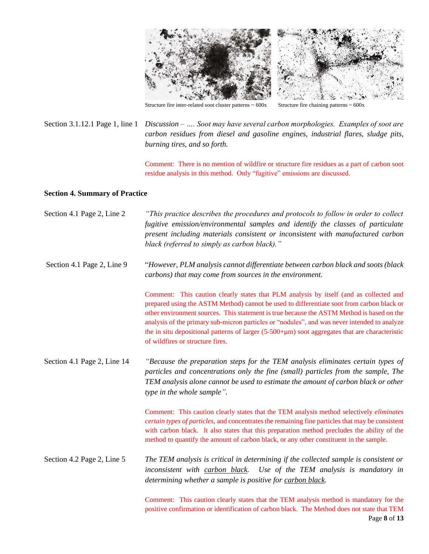

Structure fire inter-related soot cluster patterns  $\sim 600x$  Structure fire chaining patterns  $\sim 600x$ 

Section 3.1.12.1 Page 1, line 1 *Discussion – …. Soot may have several carbon morphologies. Examples of soot are carbon residues from diesel and gasoline engines, industrial flares, sludge pits, burning tires, and so forth.*

> Comment: There is no mention of wildfire or structure fire residues as a part of carbon soot residue analysis in this method. Only "fugitive" emissions are discussed.

## **Section 4. Summary of Practice**

| Section 4.1 Page 2, Line 2  | "This practice describes the procedures and protocols to follow in order to collect<br>fugitive emission/environmental samples and identify the classes of particulate<br>present including materials consistent or inconsistent with manufactured carbon<br>black (referred to simply as carbon black)."                                                                                                                                                                                                                   |
|-----------------------------|-----------------------------------------------------------------------------------------------------------------------------------------------------------------------------------------------------------------------------------------------------------------------------------------------------------------------------------------------------------------------------------------------------------------------------------------------------------------------------------------------------------------------------|
| Section 4.1 Page 2, Line 9  | "However, PLM analysis cannot differentiate between carbon black and soots (black<br>carbons) that may come from sources in the environment.                                                                                                                                                                                                                                                                                                                                                                                |
|                             | Comment: This caution clearly states that PLM analysis by itself (and as collected and<br>prepared using the ASTM Method) cannot be used to differentiate soot from carbon black or<br>other environment sources. This statement is true because the ASTM Method is based on the<br>analysis of the primary sub-micron particles or "nodules", and was never intended to analyze<br>the in situ depositional patterns of larger $(5-500+\mu m)$ soot aggregates that are characteristic<br>of wildfires or structure fires. |
| Section 4.1 Page 2, Line 14 | "Because the preparation steps for the TEM analysis eliminates certain types of<br>particles and concentrations only the fine (small) particles from the sample, The<br>TEM analysis alone cannot be used to estimate the amount of carbon black or other<br>type in the whole sample".                                                                                                                                                                                                                                     |
|                             | Comment: This caution clearly states that the TEM analysis method selectively <i>eliminates</i><br>certain types of particles, and concentrates the remaining fine particles that may be consistent<br>with carbon black. It also states that this preparation method precludes the ability of the<br>method to quantify the amount of carbon black, or any other constituent in the sample.                                                                                                                                |
| Section 4.2 Page 2, Line 5  | The TEM analysis is critical in determining if the collected sample is consistent or<br>inconsistent with carbon black.<br>Use of the TEM analysis is mandatory in<br>determining whether a sample is positive for carbon black.                                                                                                                                                                                                                                                                                            |
|                             | Comment: This caution clearly states that the TEM analysis method is mandatory for the<br>positive confirmation or identification of carbon black. The Method does not state that TEM<br>Page 8 of 13                                                                                                                                                                                                                                                                                                                       |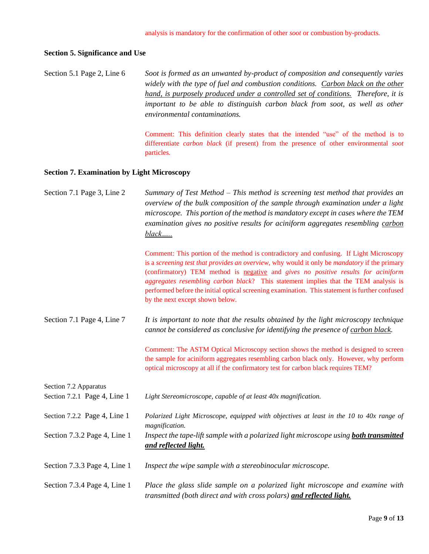#### **Section 5. Significance and Use**

Section 5.1 Page 2, Line 6 *Soot is formed as an unwanted by-product of composition and consequently varies widely with the type of fuel and combustion conditions. Carbon black on the other hand, is purposely produced under a controlled set of conditions. Therefore, it is important to be able to distinguish carbon black from soot, as well as other environmental contaminations.*

> Comment: This definition clearly states that the intended "use" of the method is to differentiate *carbon black* (if present) from the presence of other environmental *soot* particles.

#### **Section 7. Examination by Light Microscopy**

Section 7.1 Page 3, Line 2 *Summary of Test Method – This method is screening test method that provides an overview of the bulk composition of the sample through examination under a light microscope. This portion of the method is mandatory except in cases where the TEM examination gives no positive results for aciniform aggregates resembling carbon black…..*

> Comment: This portion of the method is contradictory and confusing. If Light Microscopy is a *screening test that provides an overview*, why would it only be *mandatory* if the primary (confirmatory) TEM method is negative and *gives no positive results for aciniform aggregates resembling carbon black*? This statement implies that the TEM analysis is performed before the initial optical screening examination. This statement is further confused by the next except shown below.

Section 7.1 Page 4, Line 7 *It is important to note that the results obtained by the light microscopy technique cannot be considered as conclusive for identifying the presence of carbon black.*

> Comment: The ASTM Optical Microscopy section shows the method is designed to screen the sample for aciniform aggregates resembling carbon black only. However, why perform optical microscopy at all if the confirmatory test for carbon black requires TEM?

Section 7.2 Apparatus

Section 7.2.1 Page 4, Line 1 *Light Stereomicroscope, capable of at least 40x magnification.* 

*and reflected light.*

Section 7.2.2 Page 4, Line 1 *Polarized Light Microscope, equipped with objectives at least in the 10 to 40x range of magnification.* Section 7.3.2 Page 4, Line 1 *Inspect the tape-lift sample with a polarized light microscope using both transmitted* 

- Section 7.3.3 Page 4, Line 1 *Inspect the wipe sample with a stereobinocular microscope.*
- Section 7.3.4 Page 4, Line 1 *Place the glass slide sample on a polarized light microscope and examine with transmitted (both direct and with cross polars) and reflected light.*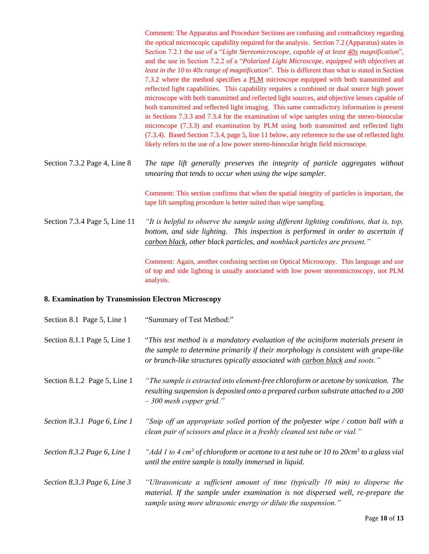Comment: The Apparatus and Procedure Sections are confusing and contradictory regarding the optical microscopic capability required for the analysis. Section 7.2 (Apparatus) states in Section 7.2.1 the use of a "*Light Stereomicroscope, capable of at least 40x magnification*", and the use in Section 7.2.2 of a "*Polarized Light Microscope, equipped with objectives at least in the 10 to 40x range of magnification*". This is different than what is stated in Section 7.3.2 where the method specifies a PLM microscope equipped with both transmitted and reflected light capabilities. This capability requires a combined or dual source high power microscope with both transmitted and reflected light sources, and objective lenses capable of both transmitted and reflected light imaging. This same contradictory information is present in Sections 7.3.3 and 7.3.4 for the examination of wipe samples using the stereo-binocular microscope (7.3.3) and examination by PLM using both transmitted and reflected light (7.3.4). Based Section 7.3.4, page 5, line 11 below, any reference to the use of reflected light likely refers to the use of a low power stereo-binocular bright field microscope.

Section 7.3.2 Page 4, Line 8 *The tape lift generally preserves the integrity of particle aggregates without smearing that tends to occur when using the wipe sampler.*

> Comment: This section confirms that when the spatial integrity of particles is important, the tape lift sampling procedure is better suited than wipe sampling.

Section 7.3.4 Page 5, Line 11 *"It is helpful to observe the sample using different lighting conditions, that is, top, bottom, and side lighting. This inspection is performed in order to ascertain if carbon black, other black particles, and nonblack particles are present."*

> Comment: Again, another confusing section on Optical Microscopy. This language and use of top and side lighting is usually associated with low power stereomicroscopy, not PLM analysis.

#### **8. Examination by Transmission Electron Microscopy**

| Section 8.1 Page 5, Line 1     | "Summary of Test Method:"                                                                                                                                                                                                                                |
|--------------------------------|----------------------------------------------------------------------------------------------------------------------------------------------------------------------------------------------------------------------------------------------------------|
| Section 8.1.1 Page 5, Line 1   | "This test method is a mandatory evaluation of the aciniform materials present in<br>the sample to determine primarily if their morphology is consistent with grape-like<br>or branch-like structures typically associated with carbon black and soots." |
| Section 8.1.2 Page 5, Line 1   | "The sample is extracted into element-free chloroform or acetone by sonication. The<br>resulting suspension is deposited onto a prepared carbon substrate attached to a 200<br>$-300$ mesh copper grid."                                                 |
| Section 8.3.1 Page 6, Line 1   | "Snip off an appropriate soiled portion of the polyester wipe / cotton ball with a<br>clean pair of scissors and place in a freshly cleaned test tube or vial."                                                                                          |
| Section 8.3.2 Page 6, Line 1   | "Add 1 to 4 cm <sup>3</sup> of chloroform or acetone to a test tube or 10 to 20cm <sup>3</sup> to a glass vial<br>until the entire sample is totally immersed in liquid.                                                                                 |
| Section 8.3.3 Page 6, Line $3$ | "Ultrasonicate a sufficient amount of time (typically 10 min) to disperse the<br>material. If the sample under examination is not dispersed well, re-prepare the<br>sample using more ultrasonic energy or dilute the suspension."                       |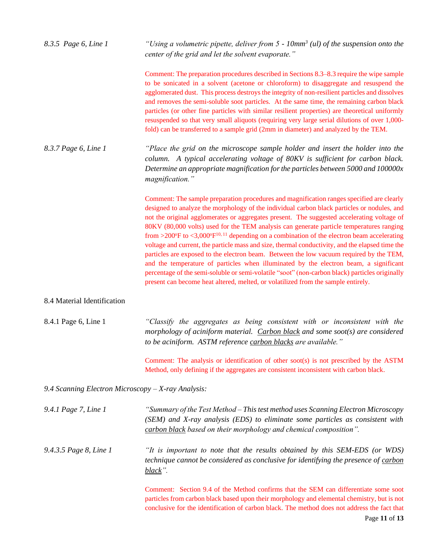| 8.3.5 Page 6, Line 1                               | "Using a volumetric pipette, deliver from $5 - 10$ mm <sup>3</sup> (ul) of the suspension onto the<br>center of the grid and let the solvent evaporate."                                                                                                                                                                                                                                                                                                                                                                                                                                                                                                                                                                                                                                                                                                                                                                                                                         |
|----------------------------------------------------|----------------------------------------------------------------------------------------------------------------------------------------------------------------------------------------------------------------------------------------------------------------------------------------------------------------------------------------------------------------------------------------------------------------------------------------------------------------------------------------------------------------------------------------------------------------------------------------------------------------------------------------------------------------------------------------------------------------------------------------------------------------------------------------------------------------------------------------------------------------------------------------------------------------------------------------------------------------------------------|
|                                                    | Comment: The preparation procedures described in Sections 8.3–8.3 require the wipe sample<br>to be sonicated in a solvent (acetone or chloroform) to disaggregate and resuspend the<br>agglomerated dust. This process destroys the integrity of non-resilient particles and dissolves<br>and removes the semi-soluble soot particles. At the same time, the remaining carbon black<br>particles (or other fine particles with similar resilient properties) are theoretical uniformly<br>resuspended so that very small aliquots (requiring very large serial dilutions of over 1,000-<br>fold) can be transferred to a sample grid (2mm in diameter) and analyzed by the TEM.                                                                                                                                                                                                                                                                                                  |
| 8.3.7 Page 6, Line 1                               | "Place the grid on the microscope sample holder and insert the holder into the<br>column. A typical accelerating voltage of 80KV is sufficient for carbon black.<br>Determine an appropriate magnification for the particles between 5000 and $100000x$<br>magnification."                                                                                                                                                                                                                                                                                                                                                                                                                                                                                                                                                                                                                                                                                                       |
|                                                    | Comment: The sample preparation procedures and magnification ranges specified are clearly<br>designed to analyze the morphology of the individual carbon black particles or nodules, and<br>not the original agglomerates or aggregates present. The suggested accelerating voltage of<br>80KV (80,000 volts) used for the TEM analysis can generate particle temperatures ranging<br>from >200 $\rm{°F}$ to <3,000 $\rm{°F^{10,11}}$ depending on a combination of the electron beam accelerating<br>voltage and current, the particle mass and size, thermal conductivity, and the elapsed time the<br>particles are exposed to the electron beam. Between the low vacuum required by the TEM,<br>and the temperature of particles when illuminated by the electron beam, a significant<br>percentage of the semi-soluble or semi-volatile "soot" (non-carbon black) particles originally<br>present can become heat altered, melted, or volatilized from the sample entirely. |
| 8.4 Material Identification                        |                                                                                                                                                                                                                                                                                                                                                                                                                                                                                                                                                                                                                                                                                                                                                                                                                                                                                                                                                                                  |
| 8.4.1 Page 6, Line 1                               | "Classify the aggregates as being consistent with or inconsistent with the<br>morphology of aciniform material. Carbon black and some soot(s) are considered<br>to be aciniform. ASTM reference carbon blacks are available."                                                                                                                                                                                                                                                                                                                                                                                                                                                                                                                                                                                                                                                                                                                                                    |
|                                                    | Comment: The analysis or identification of other soot(s) is not prescribed by the ASTM<br>Method, only defining if the aggregates are consistent inconsistent with carbon black.                                                                                                                                                                                                                                                                                                                                                                                                                                                                                                                                                                                                                                                                                                                                                                                                 |
| 9.4 Scanning Electron Microscopy - X-ray Analysis: |                                                                                                                                                                                                                                                                                                                                                                                                                                                                                                                                                                                                                                                                                                                                                                                                                                                                                                                                                                                  |
| 9.4.1 Page 7, Line 1                               | "Summary of the Test Method – This test method uses Scanning Electron Microscopy<br>(SEM) and X-ray analysis (EDS) to eliminate some particles as consistent with<br>carbon black based on their morphology and chemical composition".                                                                                                                                                                                                                                                                                                                                                                                                                                                                                                                                                                                                                                                                                                                                           |
| 9.4.3.5 Page 8, Line 1                             | "It is important to note that the results obtained by this SEM-EDS (or WDS)<br>technique cannot be considered as conclusive for identifying the presence of carbon<br>black".                                                                                                                                                                                                                                                                                                                                                                                                                                                                                                                                                                                                                                                                                                                                                                                                    |
|                                                    | Comment: Section 9.4 of the Method confirms that the SEM can differentiate some soot<br>particles from carbon black based upon their morphology and elemental chemistry, but is not<br>conclusive for the identification of carbon black. The method does not address the fact that<br>Page 11 of 13                                                                                                                                                                                                                                                                                                                                                                                                                                                                                                                                                                                                                                                                             |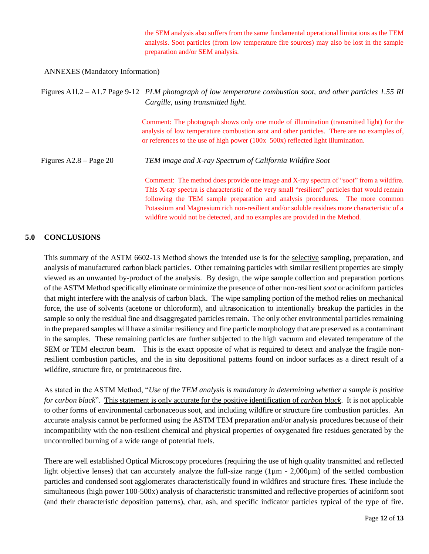the SEM analysis also suffers from the same fundamental operational limitations as the TEM analysis. Soot particles (from low temperature fire sources) may also be lost in the sample preparation and/or SEM analysis.

#### ANNEXES (Mandatory Information)

|                          | Figures A11.2 – A1.7 Page 9-12 PLM photograph of low temperature combustion soot, and other particles 1.55 RI<br>Cargille, using transmitted light.                                                                                                                                                                                                                                                                                                      |
|--------------------------|----------------------------------------------------------------------------------------------------------------------------------------------------------------------------------------------------------------------------------------------------------------------------------------------------------------------------------------------------------------------------------------------------------------------------------------------------------|
|                          | Comment: The photograph shows only one mode of illumination (transmitted light) for the<br>analysis of low temperature combustion soot and other particles. There are no examples of,<br>or references to the use of high power $(100x-500x)$ reflected light illumination.                                                                                                                                                                              |
| Figures $A2.8 - Page 20$ | TEM image and X-ray Spectrum of California Wildfire Soot                                                                                                                                                                                                                                                                                                                                                                                                 |
|                          | Comment: The method does provide one image and X-ray spectra of "soot" from a wildfire.<br>This X-ray spectra is characteristic of the very small "resilient" particles that would remain<br>following the TEM sample preparation and analysis procedures. The more common<br>Potassium and Magnesium rich non-resilient and/or soluble residues more characteristic of a<br>wildfire would not be detected, and no examples are provided in the Method. |

#### **5.0 CONCLUSIONS**

This summary of the ASTM 6602-13 Method shows the intended use is for the selective sampling, preparation, and analysis of manufactured carbon black particles. Other remaining particles with similar resilient properties are simply viewed as an unwanted by-product of the analysis. By design, the wipe sample collection and preparation portions of the ASTM Method specifically eliminate or minimize the presence of other non-resilient *soot* or aciniform particles that might interfere with the analysis of carbon black. The wipe sampling portion of the method relies on mechanical force, the use of solvents (acetone or chloroform), and ultrasonication to intentionally breakup the particles in the sample so only the residual fine and disaggregated particles remain. The only other environmental particles remaining in the prepared samples will have a similar resiliency and fine particle morphology that are preserved as a contaminant in the samples. These remaining particles are further subjected to the high vacuum and elevated temperature of the SEM or TEM electron beam. This is the exact opposite of what is required to detect and analyze the fragile nonresilient combustion particles, and the in situ depositional patterns found on indoor surfaces as a direct result of a wildfire, structure fire, or proteinaceous fire.

As stated in the ASTM Method, "*Use of the TEM analysis is mandatory in determining whether a sample is positive for carbon black*". This statement is only accurate for the positive identification of *carbon black*. It is not applicable to other forms of environmental carbonaceous soot, and including wildfire or structure fire combustion particles. An accurate analysis cannot be performed using the ASTM TEM preparation and/or analysis procedures because of their incompatibility with the non-resilient chemical and physical properties of oxygenated fire residues generated by the uncontrolled burning of a wide range of potential fuels.

There are well established Optical Microscopy procedures (requiring the use of high quality transmitted and reflected light objective lenses) that can accurately analyze the full-size range (1 $\mu$ m - 2,000 $\mu$ m) of the settled combustion particles and condensed soot agglomerates characteristically found in wildfires and structure fires. These include the simultaneous (high power 100-500x) analysis of characteristic transmitted and reflective properties of aciniform soot (and their characteristic deposition patterns), char, ash, and specific indicator particles typical of the type of fire.